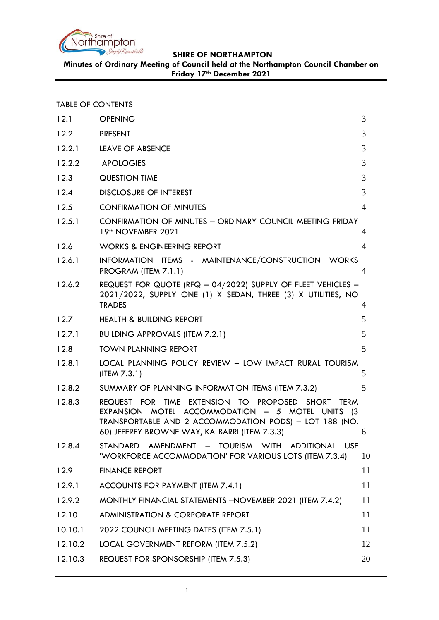

**Minutes of Ordinary Meeting of Council held at the Northampton Council Chamber on Friday 17th December 2021**

TABLE OF CONTENTS

| 12.1    | <b>OPENING</b>                                                                                                                                                                                                                        | 3              |
|---------|---------------------------------------------------------------------------------------------------------------------------------------------------------------------------------------------------------------------------------------|----------------|
| 12.2    | <b>PRESENT</b>                                                                                                                                                                                                                        | 3              |
| 12.2.1  | LEAVE OF ABSENCE                                                                                                                                                                                                                      | 3              |
| 12.2.2  | <b>APOLOGIES</b>                                                                                                                                                                                                                      | 3              |
| 12.3    | <b>QUESTION TIME</b>                                                                                                                                                                                                                  | 3              |
| 12.4    | <b>DISCLOSURE OF INTEREST</b>                                                                                                                                                                                                         | 3              |
| 12.5    | <b>CONFIRMATION OF MINUTES</b>                                                                                                                                                                                                        | $\overline{4}$ |
| 12.5.1  | CONFIRMATION OF MINUTES - ORDINARY COUNCIL MEETING FRIDAY<br>19th NOVEMBER 2021                                                                                                                                                       | 4              |
| 12.6    | <b>WORKS &amp; ENGINEERING REPORT</b>                                                                                                                                                                                                 | $\overline{A}$ |
| 12.6.1  | INFORMATION ITEMS - MAINTENANCE/CONSTRUCTION WORKS<br>PROGRAM (ITEM 7.1.1)                                                                                                                                                            | $\overline{4}$ |
| 12.6.2  | REQUEST FOR QUOTE (RFQ $-$ 04/2022) SUPPLY OF FLEET VEHICLES $-$<br>2021/2022, SUPPLY ONE (1) X SEDAN, THREE (3) X UTILITIES, NO<br><b>TRADES</b>                                                                                     | 4              |
| 12.7    | <b>HEALTH &amp; BUILDING REPORT</b>                                                                                                                                                                                                   | 5              |
| 12.7.1  | <b>BUILDING APPROVALS (ITEM 7.2.1)</b>                                                                                                                                                                                                | 5              |
| 12.8    | <b>TOWN PLANNING REPORT</b>                                                                                                                                                                                                           | 5              |
| 12.8.1  | LOCAL PLANNING POLICY REVIEW - LOW IMPACT RURAL TOURISM<br>(ITER 7.3.1)                                                                                                                                                               | 5              |
| 12.8.2  | SUMMARY OF PLANNING INFORMATION ITEMS (ITEM 7.3.2)                                                                                                                                                                                    | 5              |
| 12.8.3  | REQUEST FOR TIME EXTENSION TO PROPOSED<br><b>SHORT</b><br><b>TERM</b><br>EXPANSION MOTEL ACCOMMODATION - 5 MOTEL UNITS (3)<br>TRANSPORTABLE AND 2 ACCOMMODATION PODS) - LOT 188 (NO.<br>60) JEFFREY BROWNE WAY, KALBARRI (ITEM 7.3.3) | 6              |
| 12.8.4  | AMENDMENT - TOURISM WITH<br><b>ADDITIONAL</b><br><b>USE</b><br><b>STANDARD</b><br>'WORKFORCE ACCOMMODATION' FOR VARIOUS LOTS (ITEM 7.3.4)                                                                                             | 10             |
| 12.9    | <b>FINANCE REPORT</b>                                                                                                                                                                                                                 | 11             |
| 12.9.1  | ACCOUNTS FOR PAYMENT (ITEM 7.4.1)                                                                                                                                                                                                     | 11             |
| 12.9.2  | MONTHLY FINANCIAL STATEMENTS - NOVEMBER 2021 (ITEM 7.4.2)                                                                                                                                                                             | 11             |
| 12.10   | <b>ADMINISTRATION &amp; CORPORATE REPORT</b>                                                                                                                                                                                          | 11             |
| 10.10.1 | 2022 COUNCIL MEETING DATES (ITEM 7.5.1)                                                                                                                                                                                               | 11             |
| 12.10.2 | LOCAL GOVERNMENT REFORM (ITEM 7.5.2)                                                                                                                                                                                                  | 12             |
| 12.10.3 | REQUEST FOR SPONSORSHIP (ITEM 7.5.3)                                                                                                                                                                                                  | 20             |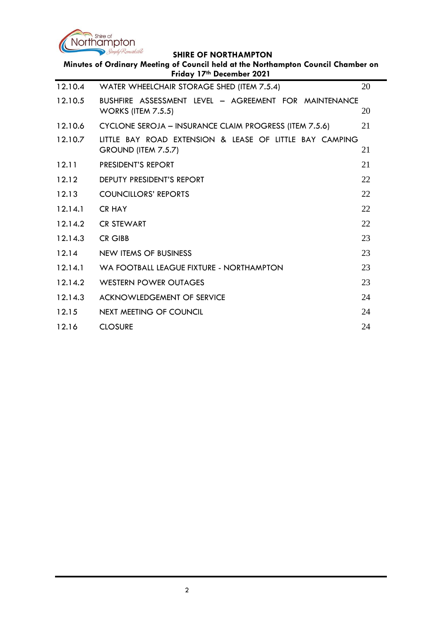

| Minutes of Ordinary Meeting of Council held at the Northampton Council Chamber on<br>Friday 17th December 2021 |                                                                                    |    |  |
|----------------------------------------------------------------------------------------------------------------|------------------------------------------------------------------------------------|----|--|
| 12.10.4                                                                                                        | WATER WHEELCHAIR STORAGE SHED (ITEM 7.5.4)                                         | 20 |  |
| 12.10.5                                                                                                        | BUSHFIRE ASSESSMENT LEVEL - AGREEMENT FOR MAINTENANCE<br><b>WORKS (ITEM 7.5.5)</b> | 20 |  |
| 12.10.6                                                                                                        | CYCLONE SEROJA – INSURANCE CLAIM PROGRESS (ITEM 7.5.6)                             | 21 |  |
| 12.10.7                                                                                                        | LITTLE BAY ROAD EXTENSION & LEASE OF LITTLE BAY CAMPING<br>GROUND (ITEM 7.5.7)     | 21 |  |
| 12.11                                                                                                          | PRESIDENT'S REPORT                                                                 | 21 |  |
| 12.12                                                                                                          | <b>DEPUTY PRESIDENT'S REPORT</b>                                                   | 22 |  |
| 12.13                                                                                                          | <b>COUNCILLORS' REPORTS</b>                                                        | 22 |  |
| 12.14.1                                                                                                        | <b>CR HAY</b>                                                                      | 22 |  |
| 12.14.2                                                                                                        | <b>CR STEWART</b>                                                                  | 22 |  |
| 12.14.3                                                                                                        | <b>CR GIBB</b>                                                                     | 23 |  |
| 12.14                                                                                                          | NEW ITEMS OF BUSINESS                                                              | 23 |  |
| 12.14.1                                                                                                        | WA FOOTBALL LEAGUE FIXTURE - NORTHAMPTON                                           | 23 |  |
| 12.14.2                                                                                                        | <b>WESTERN POWER OUTAGES</b>                                                       | 23 |  |
| 12.14.3                                                                                                        | <b>ACKNOWLEDGEMENT OF SERVICE</b>                                                  | 24 |  |
| 12.15                                                                                                          | <b>NEXT MEETING OF COUNCIL</b>                                                     | 24 |  |
| 12.16                                                                                                          | <b>CLOSURE</b>                                                                     | 24 |  |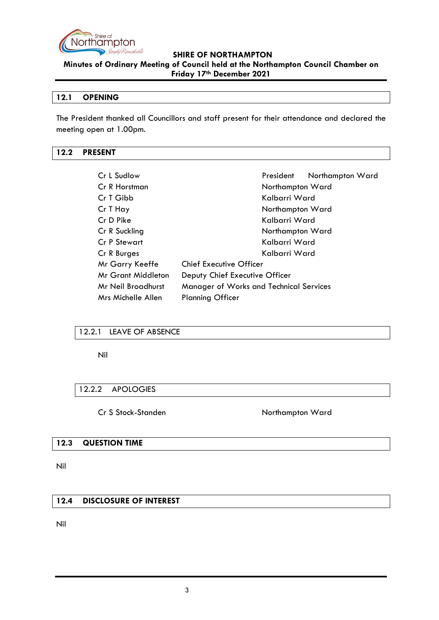

**Minutes of Ordinary Meeting of Council held at the Northampton Council Chamber on Friday 17th December 2021**

# <span id="page-2-0"></span>**12.1 OPENING**

The President thanked all Councillors and staff present for their attendance and declared the meeting open at 1.00pm.

# <span id="page-2-1"></span>**12.2 PRESENT**

| Cr L Sudlow                                                          | Northampton Ward<br>President  |
|----------------------------------------------------------------------|--------------------------------|
| Cr R Horstman                                                        | Northampton Ward               |
| Cr T Gibb                                                            | Kalbarri Ward                  |
| Cr T Hay                                                             | Northampton Ward               |
| Cr D Pike                                                            | Kalbarri Ward                  |
| Cr R Suckling                                                        | Northampton Ward               |
| Cr P Stewart                                                         | Kalbarri Ward                  |
| Cr R Burges                                                          | Kalbarri Ward                  |
| Mr Garry Keeffe                                                      | <b>Chief Executive Officer</b> |
| Mr Grant Middleton<br>Deputy Chief Executive Officer                 |                                |
| Mr Neil Broadhurst<br><b>Manager of Works and Technical Services</b> |                                |
| Mrs Michelle Allen                                                   | <b>Planning Officer</b>        |

# <span id="page-2-2"></span>12.2.1 LEAVE OF ABSENCE

Nil

# <span id="page-2-3"></span>12.2.2 APOLOGIES

Cr S Stock-Standen Northampton Ward

#### <span id="page-2-4"></span>**12.3 QUESTION TIME**

Nil

# <span id="page-2-5"></span>**12.4 DISCLOSURE OF INTEREST**

Nil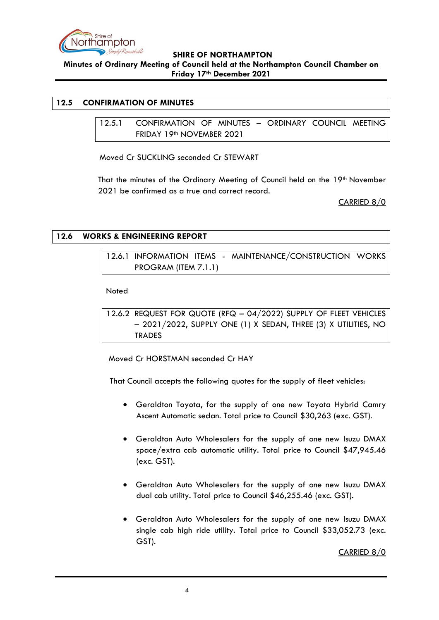

**Minutes of Ordinary Meeting of Council held at the Northampton Council Chamber on Friday 17th December 2021**

# <span id="page-3-1"></span><span id="page-3-0"></span>**12.5 CONFIRMATION OF MINUTES**

12.5.1 CONFIRMATION OF MINUTES – ORDINARY COUNCIL MEETING FRIDAY 19th NOVEMBER 2021

Moved Cr SUCKLING seconded Cr STEWART

That the minutes of the Ordinary Meeting of Council held on the 19<sup>th</sup> November 2021 be confirmed as a true and correct record.

CARRIED 8/0

# <span id="page-3-3"></span><span id="page-3-2"></span>**12.6 WORKS & ENGINEERING REPORT**

12.6.1 INFORMATION ITEMS - MAINTENANCE/CONSTRUCTION WORKS PROGRAM (ITEM 7.1.1)

Noted

<span id="page-3-4"></span>12.6.2 REQUEST FOR QUOTE (RFQ – 04/2022) SUPPLY OF FLEET VEHICLES – 2021/2022, SUPPLY ONE (1) X SEDAN, THREE (3) X UTILITIES, NO TRADES

Moved Cr HORSTMAN seconded Cr HAY

That Council accepts the following quotes for the supply of fleet vehicles:

- Geraldton Toyota, for the supply of one new Toyota Hybrid Camry Ascent Automatic sedan. Total price to Council \$30,263 (exc. GST).
- Geraldton Auto Wholesalers for the supply of one new Isuzu DMAX space/extra cab automatic utility. Total price to Council \$47,945.46 (exc. GST).
- Geraldton Auto Wholesalers for the supply of one new Isuzu DMAX dual cab utility. Total price to Council \$46,255.46 (exc. GST).
- Geraldton Auto Wholesalers for the supply of one new Isuzu DMAX single cab high ride utility. Total price to Council \$33,052.73 (exc. GST).

CARRIED 8/0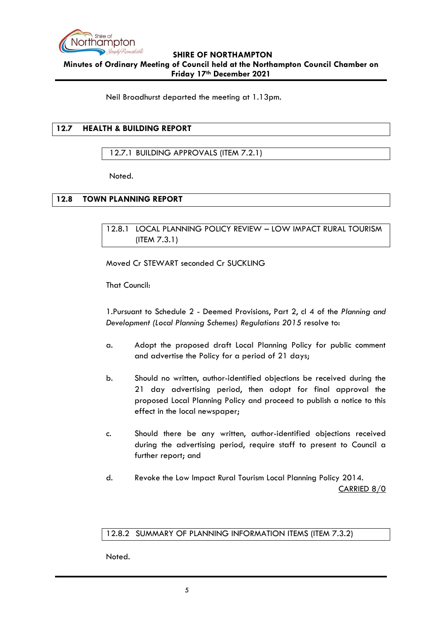

Neil Broadhurst departed the meeting at 1.13pm.

# <span id="page-4-0"></span>**12.7 HEALTH & BUILDING REPORT**

# <span id="page-4-1"></span>12.7.1 BUILDING APPROVALS (ITEM 7.2.1)

Noted.

# <span id="page-4-3"></span><span id="page-4-2"></span>**12.8 TOWN PLANNING REPORT**

12.8.1 LOCAL PLANNING POLICY REVIEW – LOW IMPACT RURAL TOURISM (ITEM 7.3.1)

Moved Cr STEWART seconded Cr SUCKLING

That Council:

1.Pursuant to Schedule 2 - Deemed Provisions, Part 2, cl 4 of the *Planning and Development (Local Planning Schemes) Regulations 2015* resolve to:

- a. Adopt the proposed draft Local Planning Policy for public comment and advertise the Policy for a period of 21 days;
- b. Should no written, author-identified objections be received during the 21 day advertising period, then adopt for final approval the proposed Local Planning Policy and proceed to publish a notice to this effect in the local newspaper;
- c. Should there be any written, author-identified objections received during the advertising period, require staff to present to Council a further report; and
- d. Revoke the Low Impact Rural Tourism Local Planning Policy 2014. CARRIED 8/0

#### <span id="page-4-4"></span>12.8.2 SUMMARY OF PLANNING INFORMATION ITEMS (ITEM 7.3.2)

Noted.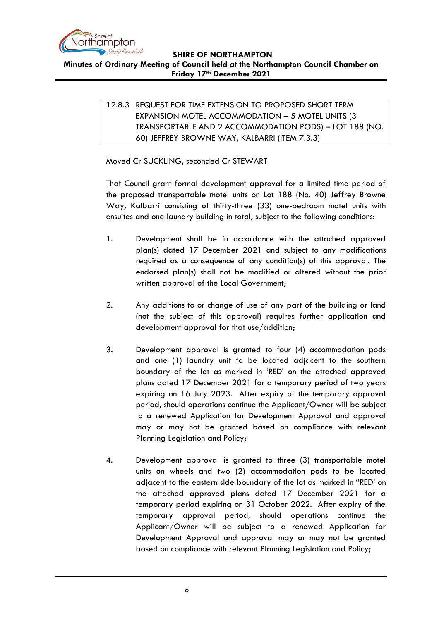

<span id="page-5-0"></span>**Minutes of Ordinary Meeting of Council held at the Northampton Council Chamber on Friday 17th December 2021**

# 12.8.3 REQUEST FOR TIME EXTENSION TO PROPOSED SHORT TERM EXPANSION MOTEL ACCOMMODATION – 5 MOTEL UNITS (3 TRANSPORTABLE AND 2 ACCOMMODATION PODS) – LOT 188 (NO. 60) JEFFREY BROWNE WAY, KALBARRI (ITEM 7.3.3)

Moved Cr SUCKLING, seconded Cr STEWART

That Council grant formal development approval for a limited time period of the proposed transportable motel units on Lot 188 (No. 40) Jeffrey Browne Way, Kalbarri consisting of thirty-three (33) one-bedroom motel units with ensuites and one laundry building in total, subject to the following conditions:

- 1. Development shall be in accordance with the attached approved plan(s) dated 17 December 2021 and subject to any modifications required as a consequence of any condition(s) of this approval. The endorsed plan(s) shall not be modified or altered without the prior written approval of the Local Government;
- 2. Any additions to or change of use of any part of the building or land (not the subject of this approval) requires further application and development approval for that use/addition;
- 3. Development approval is granted to four (4) accommodation pods and one (1) laundry unit to be located adjacent to the southern boundary of the lot as marked in 'RED' on the attached approved plans dated 17 December 2021 for a temporary period of two years expiring on 16 July 2023. After expiry of the temporary approval period, should operations continue the Applicant/Owner will be subject to a renewed Application for Development Approval and approval may or may not be granted based on compliance with relevant Planning Legislation and Policy;
- 4. Development approval is granted to three (3) transportable motel units on wheels and two (2) accommodation pods to be located adjacent to the eastern side boundary of the lot as marked in "RED' on the attached approved plans dated 17 December 2021 for a temporary period expiring on 31 October 2022. After expiry of the temporary approval period, should operations continue the Applicant/Owner will be subject to a renewed Application for Development Approval and approval may or may not be granted based on compliance with relevant Planning Legislation and Policy;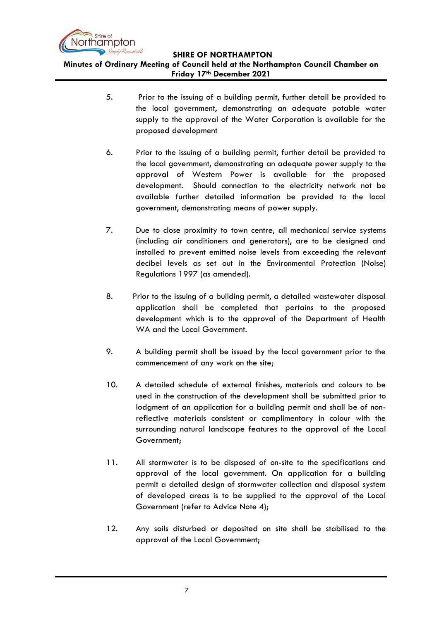

**Minutes of Ordinary Meeting of Council held at the Northampton Council Chamber on Friday 17th December 2021**

- 5. Prior to the issuing of a building permit, further detail be provided to the local government, demonstrating an adequate potable water supply to the approval of the Water Corporation is available for the proposed development
- 6. Prior to the issuing of a building permit, further detail be provided to the local government, demonstrating an adequate power supply to the approval of Western Power is available for the proposed development. Should connection to the electricity network not be available further detailed information be provided to the local government, demonstrating means of power supply.
- 7. Due to close proximity to town centre, all mechanical service systems (including air conditioners and generators), are to be designed and installed to prevent emitted noise levels from exceeding the relevant decibel levels as set out in the Environmental Protection (Noise) Regulations 1997 (as amended).
- 8. Prior to the issuing of a building permit, a detailed wastewater disposal application shall be completed that pertains to the proposed development which is to the approval of the Department of Health WA and the Local Government.
- 9. A building permit shall be issued by the local government prior to the commencement of any work on the site;
- 10. A detailed schedule of external finishes, materials and colours to be used in the construction of the development shall be submitted prior to lodgment of an application for a building permit and shall be of nonreflective materials consistent or complimentary in colour with the surrounding natural landscape features to the approval of the Local Government;
- 11. All stormwater is to be disposed of on-site to the specifications and approval of the local government. On application for a building permit a detailed design of stormwater collection and disposal system of developed areas is to be supplied to the approval of the Local Government (refer to Advice Note 4);
- 12. Any soils disturbed or deposited on site shall be stabilised to the approval of the Local Government;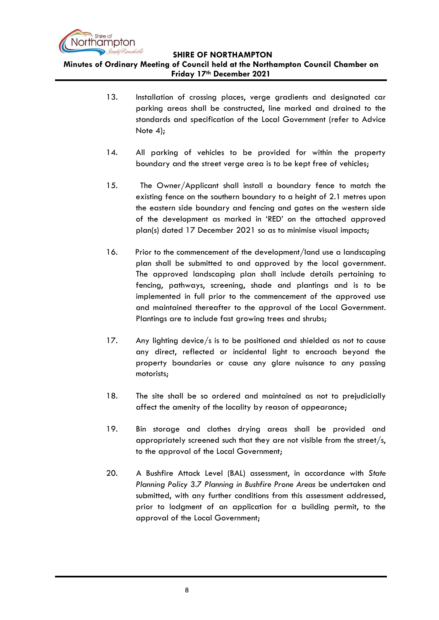

**Minutes of Ordinary Meeting of Council held at the Northampton Council Chamber on Friday 17th December 2021**

- 13. Installation of crossing places, verge gradients and designated car parking areas shall be constructed, line marked and drained to the standards and specification of the Local Government (refer to Advice Note 4);
- 14. All parking of vehicles to be provided for within the property boundary and the street verge area is to be kept free of vehicles;
- 15. The Owner/Applicant shall install a boundary fence to match the existing fence on the southern boundary to a height of 2.1 metres upon the eastern side boundary and fencing and gates on the western side of the development as marked in 'RED' on the attached approved plan(s) dated 17 December 2021 so as to minimise visual impacts;
- 16. Prior to the commencement of the development/land use a landscaping plan shall be submitted to and approved by the local government. The approved landscaping plan shall include details pertaining to fencing, pathways, screening, shade and plantings and is to be implemented in full prior to the commencement of the approved use and maintained thereafter to the approval of the Local Government. Plantings are to include fast growing trees and shrubs;
- 17. Any lighting device/s is to be positioned and shielded as not to cause any direct, reflected or incidental light to encroach beyond the property boundaries or cause any glare nuisance to any passing motorists;
- 18. The site shall be so ordered and maintained as not to prejudicially affect the amenity of the locality by reason of appearance;
- 19. Bin storage and clothes drying areas shall be provided and appropriately screened such that they are not visible from the street/s, to the approval of the Local Government;
- 20. A Bushfire Attack Level (BAL) assessment, in accordance with *State Planning Policy 3.7 Planning in Bushfire Prone Areas* be undertaken and submitted, with any further conditions from this assessment addressed, prior to lodgment of an application for a building permit, to the approval of the Local Government;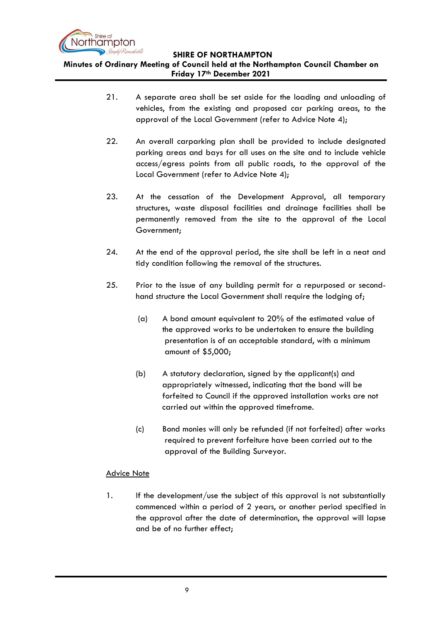

**Minutes of Ordinary Meeting of Council held at the Northampton Council Chamber on Friday 17th December 2021**

- 21. A separate area shall be set aside for the loading and unloading of vehicles, from the existing and proposed car parking areas, to the approval of the Local Government (refer to Advice Note 4);
- 22. An overall carparking plan shall be provided to include designated parking areas and bays for all uses on the site and to include vehicle access/egress points from all public roads, to the approval of the Local Government (refer to Advice Note 4);
- 23. At the cessation of the Development Approval, all temporary structures, waste disposal facilities and drainage facilities shall be permanently removed from the site to the approval of the Local Government;
- 24. At the end of the approval period, the site shall be left in a neat and tidy condition following the removal of the structures.
- 25. Prior to the issue of any building permit for a repurposed or secondhand structure the Local Government shall require the lodging of;
	- (a) A bond amount equivalent to 20% of the estimated value of the approved works to be undertaken to ensure the building presentation is of an acceptable standard, with a minimum amount of \$5,000;
	- (b) A statutory declaration, signed by the applicant(s) and appropriately witnessed, indicating that the bond will be forfeited to Council if the approved installation works are not carried out within the approved timeframe.
	- (c) Bond monies will only be refunded (if not forfeited) after works required to prevent forfeiture have been carried out to the approval of the Building Surveyor.

# Advice Note

1. If the development/use the subject of this approval is not substantially commenced within a period of 2 years, or another period specified in the approval after the date of determination, the approval will lapse and be of no further effect;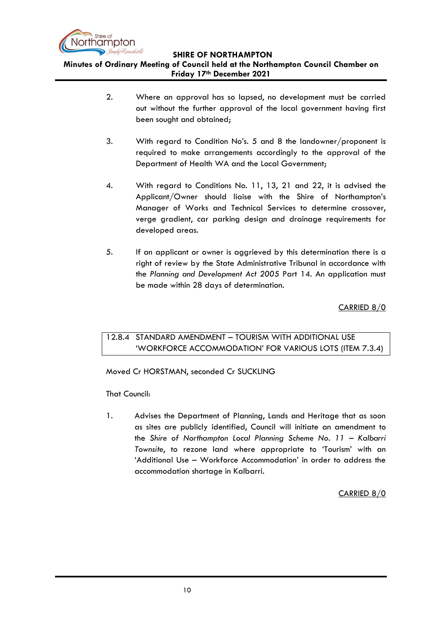

**Minutes of Ordinary Meeting of Council held at the Northampton Council Chamber on Friday 17th December 2021**

- 2. Where an approval has so lapsed, no development must be carried out without the further approval of the local government having first been sought and obtained;
- 3. With regard to Condition No's. 5 and 8 the landowner/proponent is required to make arrangements accordingly to the approval of the Department of Health WA and the Local Government;
- 4. With regard to Conditions No. 11, 13, 21 and 22, it is advised the Applicant/Owner should liaise with the Shire of Northampton's Manager of Works and Technical Services to determine crossover, verge gradient, car parking design and drainage requirements for developed areas.
- 5. If an applicant or owner is aggrieved by this determination there is a right of review by the State Administrative Tribunal in accordance with the *Planning and Development Act 2005* Part 14. An application must be made within 28 days of determination.

CARRIED 8/0

# <span id="page-9-0"></span>12.8.4 STANDARD AMENDMENT – TOURISM WITH ADDITIONAL USE 'WORKFORCE ACCOMMODATION' FOR VARIOUS LOTS (ITEM 7.3.4)

Moved Cr HORSTMAN, seconded Cr SUCKLING

That Council:

1. Advises the Department of Planning, Lands and Heritage that as soon as sites are publicly identified, Council will initiate an amendment to the *Shire of Northampton Local Planning Scheme No. 11 – Kalbarri Townsite*, to rezone land where appropriate to 'Tourism' with an 'Additional Use – Workforce Accommodation' in order to address the accommodation shortage in Kalbarri.

CARRIED 8/0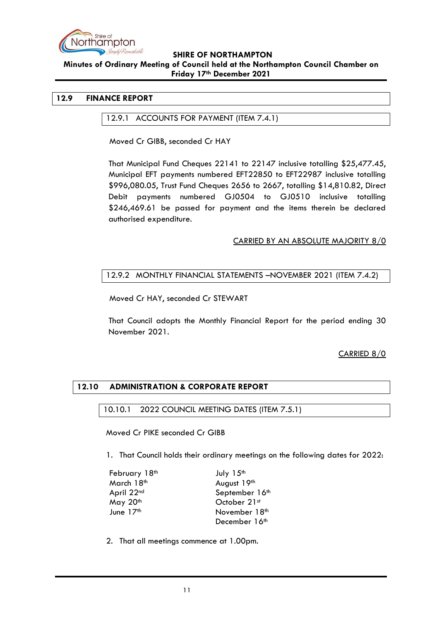

**Minutes of Ordinary Meeting of Council held at the Northampton Council Chamber on Friday 17th December 2021**

### <span id="page-10-1"></span><span id="page-10-0"></span>**12.9 FINANCE REPORT**

#### 12.9.1 ACCOUNTS FOR PAYMENT (ITEM 7.4.1)

Moved Cr GIBB, seconded Cr HAY

That Municipal Fund Cheques 22141 to 22147 inclusive totalling \$25,477.45, Municipal EFT payments numbered EFT22850 to EFT22987 inclusive totalling \$996,080.05, Trust Fund Cheques 2656 to 2667, totalling \$14,810.82, Direct Debit payments numbered GJ0504 to GJ0510 inclusive totalling \$246,469.61 be passed for payment and the items therein be declared authorised expenditure.

# CARRIED BY AN ABSOLUTE MAJORITY 8/0

# <span id="page-10-2"></span>12.9.2 MONTHLY FINANCIAL STATEMENTS –NOVEMBER 2021 (ITEM 7.4.2)

Moved Cr HAY, seconded Cr STEWART

That Council adopts the Monthly Financial Report for the period ending 30 November 2021.

# CARRIED 8/0

# <span id="page-10-4"></span><span id="page-10-3"></span>**12.10 ADMINISTRATION & CORPORATE REPORT**

#### 10.10.1 2022 COUNCIL MEETING DATES (ITEM 7.5.1)

Moved Cr PIKE seconded Cr GIBB

1. That Council holds their ordinary meetings on the following dates for 2022:

| February 18th | July 15 <sup>th</sup> |
|---------------|-----------------------|
| March 18th    | August 19th           |
| April 22nd    | September 16th        |
| May 20th      | October 21st          |
| June 17th     | November 18th         |
|               | December 16th         |

2. That all meetings commence at 1.00pm.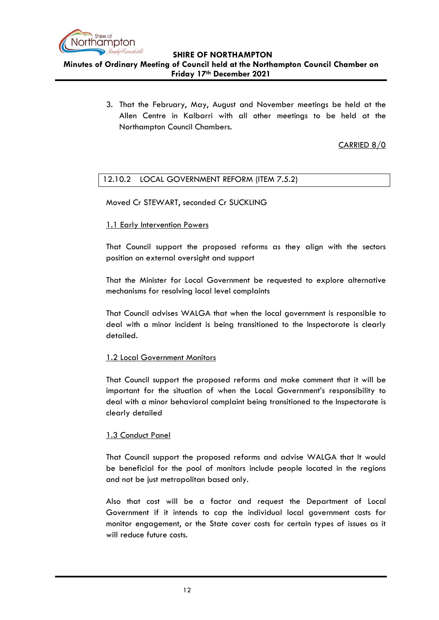

**Friday 17th December 2021**

3. That the February, May, August and November meetings be held at the Allen Centre in Kalbarri with all other meetings to be held at the Northampton Council Chambers.

CARRIED 8/0

# <span id="page-11-0"></span>12.10.2 LOCAL GOVERNMENT REFORM (ITEM 7.5.2)

Moved Cr STEWART, seconded Cr SUCKLING

# 1.1 Early Intervention Powers

That Council support the proposed reforms as they align with the sectors position on external oversight and support

That the Minister for Local Government be requested to explore alternative mechanisms for resolving local level complaints

That Council advises WALGA that when the local government is responsible to deal with a minor incident is being transitioned to the Inspectorate is clearly detailed.

# 1.2 Local Government Monitors

That Council support the proposed reforms and make comment that it will be important for the situation of when the Local Government's responsibility to deal with a minor behavioral complaint being transitioned to the Inspectorate is clearly detailed

# 1.3 Conduct Panel

That Council support the proposed reforms and advise WALGA that It would be beneficial for the pool of monitors include people located in the regions and not be just metropolitan based only.

Also that cost will be a factor and request the Department of Local Government if it intends to cap the individual local government costs for monitor engagement, or the State cover costs for certain types of issues as it will reduce future costs.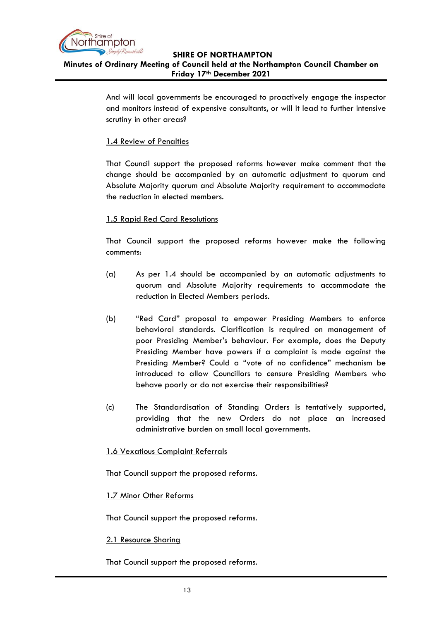

And will local governments be encouraged to proactively engage the inspector and monitors instead of expensive consultants, or will it lead to further intensive scrutiny in other areas?

# 1.4 Review of Penalties

That Council support the proposed reforms however make comment that the change should be accompanied by an automatic adjustment to quorum and Absolute Majority quorum and Absolute Majority requirement to accommodate the reduction in elected members.

# 1.5 Rapid Red Card Resolutions

That Council support the proposed reforms however make the following comments:

- (a) As per 1.4 should be accompanied by an automatic adjustments to quorum and Absolute Majority requirements to accommodate the reduction in Elected Members periods.
- (b) "Red Card" proposal to empower Presiding Members to enforce behavioral standards. Clarification is required on management of poor Presiding Member's behaviour. For example, does the Deputy Presiding Member have powers if a complaint is made against the Presiding Member? Could a "vote of no confidence" mechanism be introduced to allow Councillors to censure Presiding Members who behave poorly or do not exercise their responsibilities?
- (c) The Standardisation of Standing Orders is tentatively supported, providing that the new Orders do not place an increased administrative burden on small local governments.

# 1.6 Vexatious Complaint Referrals

That Council support the proposed reforms.

#### 1.7 Minor Other Reforms

That Council support the proposed reforms.

# 2.1 Resource Sharing

That Council support the proposed reforms.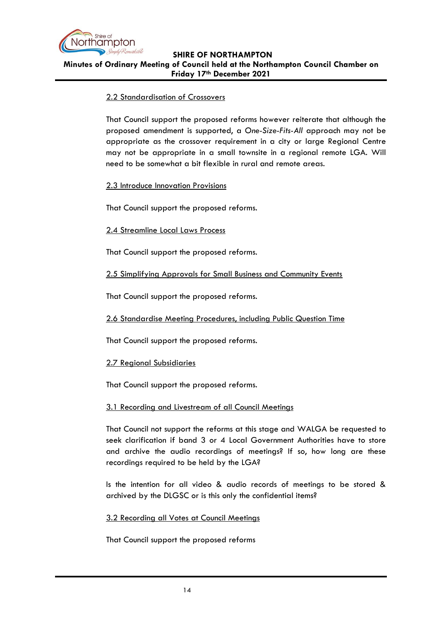

# 2.2 Standardisation of Crossovers

That Council support the proposed reforms however reiterate that although the proposed amendment is supported, a *One-Size-Fits-All* approach may not be appropriate as the crossover requirement in a city or large Regional Centre may not be appropriate in a small townsite in a regional remote LGA. Will need to be somewhat a bit flexible in rural and remote areas.

#### 2.3 Introduce Innovation Provisions

That Council support the proposed reforms.

#### 2.4 Streamline Local Laws Process

That Council support the proposed reforms.

#### 2.5 Simplifying Approvals for Small Business and Community Events

That Council support the proposed reforms.

2.6 Standardise Meeting Procedures, including Public Question Time

That Council support the proposed reforms.

#### 2.7 Regional Subsidiaries

That Council support the proposed reforms.

#### 3.1 Recording and Livestream of all Council Meetings

That Council not support the reforms at this stage and WALGA be requested to seek clarification if band 3 or 4 Local Government Authorities have to store and archive the audio recordings of meetings? If so, how long are these recordings required to be held by the LGA?

Is the intention for all video & audio records of meetings to be stored & archived by the DLGSC or is this only the confidential items?

#### 3.2 Recording all Votes at Council Meetings

That Council support the proposed reforms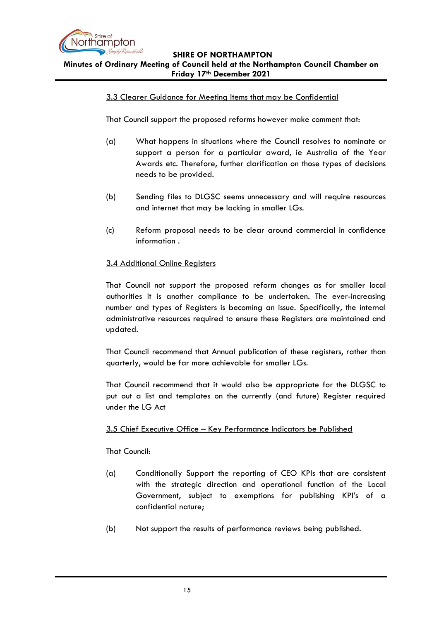

# 3.3 Clearer Guidance for Meeting Items that may be Confidential

That Council support the proposed reforms however make comment that:

- (a) What happens in situations where the Council resolves to nominate or support a person for a particular award, ie Australia of the Year Awards etc. Therefore, further clarification on those types of decisions needs to be provided.
- (b) Sending files to DLGSC seems unnecessary and will require resources and internet that may be lacking in smaller LGs.
- (c) Reform proposal needs to be clear around commercial in confidence information .

# 3.4 Additional Online Registers

That Council not support the proposed reform changes as for smaller local authorities it is another compliance to be undertaken. The ever-increasing number and types of Registers is becoming an issue. Specifically, the internal administrative resources required to ensure these Registers are maintained and updated.

That Council recommend that Annual publication of these registers, rather than quarterly, would be far more achievable for smaller LGs.

That Council recommend that it would also be appropriate for the DLGSC to put out a list and templates on the currently (and future) Register required under the LG Act

#### 3.5 Chief Executive Office – Key Performance Indicators be Published

That Council:

- (a) Conditionally Support the reporting of CEO KPIs that are consistent with the strategic direction and operational function of the Local Government, subject to exemptions for publishing KPI's of a confidential nature;
- (b) Not support the results of performance reviews being published.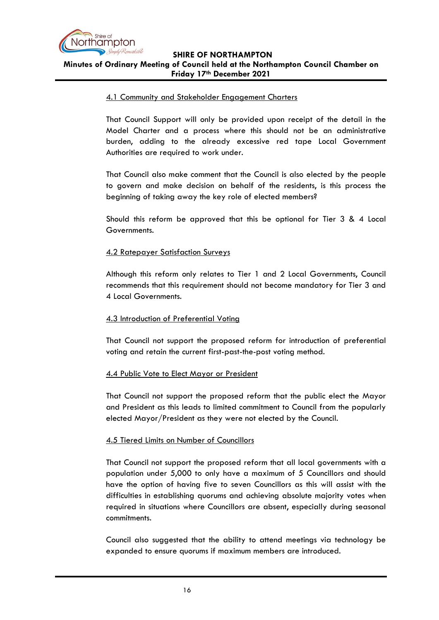

#### 4.1 Community and Stakeholder Engagement Charters

That Council Support will only be provided upon receipt of the detail in the Model Charter and a process where this should not be an administrative burden, adding to the already excessive red tape Local Government Authorities are required to work under.

That Council also make comment that the Council is also elected by the people to govern and make decision on behalf of the residents, is this process the beginning of taking away the key role of elected members?

Should this reform be approved that this be optional for Tier 3 & 4 Local Governments.

#### 4.2 Ratepayer Satisfaction Surveys

Although this reform only relates to Tier 1 and 2 Local Governments, Council recommends that this requirement should not become mandatory for Tier 3 and 4 Local Governments.

# 4.3 Introduction of Preferential Voting

That Council not support the proposed reform for introduction of preferential voting and retain the current first-past-the-post voting method.

#### 4.4 Public Vote to Elect Mayor or President

That Council not support the proposed reform that the public elect the Mayor and President as this leads to limited commitment to Council from the popularly elected Mayor/President as they were not elected by the Council.

#### 4.5 Tiered Limits on Number of Councillors

That Council not support the proposed reform that all local governments with a population under 5,000 to only have a maximum of 5 Councillors and should have the option of having five to seven Councillors as this will assist with the difficulties in establishing quorums and achieving absolute majority votes when required in situations where Councillors are absent, especially during seasonal commitments.

Council also suggested that the ability to attend meetings via technology be expanded to ensure quorums if maximum members are introduced.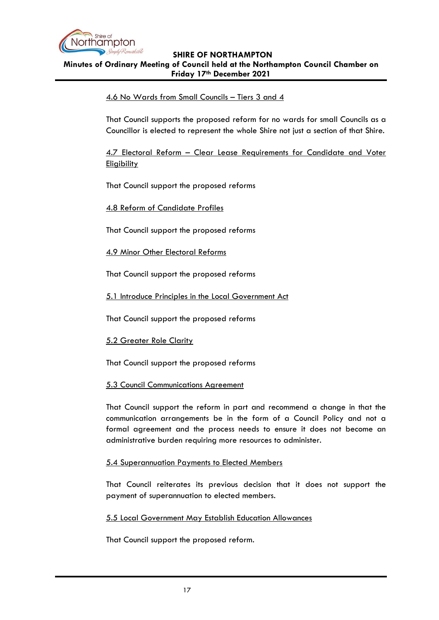

# 4.6 No Wards from Small Councils – Tiers 3 and 4

That Council supports the proposed reform for no wards for small Councils as a Councillor is elected to represent the whole Shire not just a section of that Shire.

4.7 Electoral Reform – Clear Lease Requirements for Candidate and Voter **Eligibility** 

That Council support the proposed reforms

4.8 Reform of Candidate Profiles

That Council support the proposed reforms

4.9 Minor Other Electoral Reforms

That Council support the proposed reforms

5.1 Introduce Principles in the Local Government Act

That Council support the proposed reforms

5.2 Greater Role Clarity

That Council support the proposed reforms

#### 5.3 Council Communications Agreement

That Council support the reform in part and recommend a change in that the communication arrangements be in the form of a Council Policy and not a formal agreement and the process needs to ensure it does not become an administrative burden requiring more resources to administer.

#### 5.4 Superannuation Payments to Elected Members

That Council reiterates its previous decision that it does not support the payment of superannuation to elected members.

#### 5.5 Local Government May Establish Education Allowances

That Council support the proposed reform.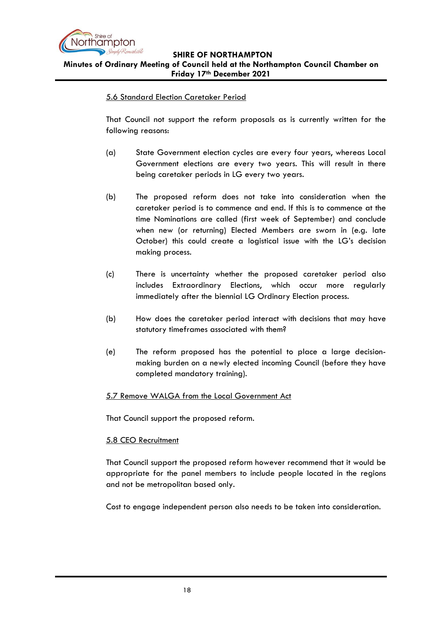

**Minutes of Ordinary Meeting of Council held at the Northampton Council Chamber on Friday 17th December 2021**

# 5.6 Standard Election Caretaker Period

That Council not support the reform proposals as is currently written for the following reasons:

- (a) State Government election cycles are every four years, whereas Local Government elections are every two years. This will result in there being caretaker periods in LG every two years.
- (b) The proposed reform does not take into consideration when the caretaker period is to commence and end. If this is to commence at the time Nominations are called (first week of September) and conclude when new (or returning) Elected Members are sworn in (e.g. late October) this could create a logistical issue with the LG's decision making process.
- (c) There is uncertainty whether the proposed caretaker period also includes Extraordinary Elections, which occur more regularly immediately after the biennial LG Ordinary Election process.
- (b) How does the caretaker period interact with decisions that may have statutory timeframes associated with them?
- (e) The reform proposed has the potential to place a large decisionmaking burden on a newly elected incoming Council (before they have completed mandatory training).

# 5.7 Remove WALGA from the Local Government Act

That Council support the proposed reform.

# 5.8 CEO Recruitment

That Council support the proposed reform however recommend that it would be appropriate for the panel members to include people located in the regions and not be metropolitan based only.

Cost to engage independent person also needs to be taken into consideration.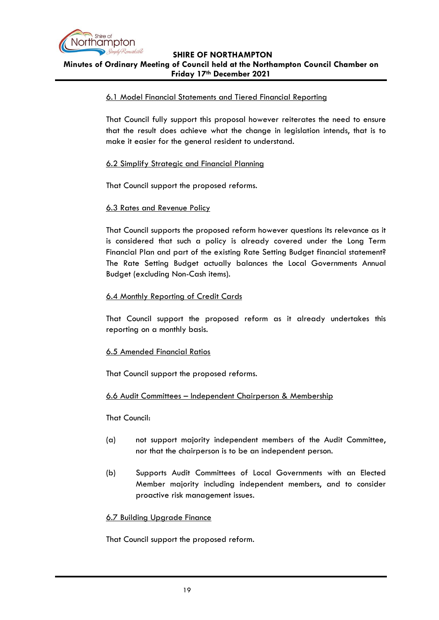

#### 6.1 Model Financial Statements and Tiered Financial Reporting

That Council fully support this proposal however reiterates the need to ensure that the result does achieve what the change in legislation intends, that is to make it easier for the general resident to understand.

#### 6.2 Simplify Strategic and Financial Planning

That Council support the proposed reforms.

#### 6.3 Rates and Revenue Policy

That Council supports the proposed reform however questions its relevance as it is considered that such a policy is already covered under the Long Term Financial Plan and part of the existing Rate Setting Budget financial statement? The Rate Setting Budget actually balances the Local Governments Annual Budget (excluding Non-Cash items).

#### 6.4 Monthly Reporting of Credit Cards

That Council support the proposed reform as it already undertakes this reporting on a monthly basis.

#### 6.5 Amended Financial Ratios

That Council support the proposed reforms.

#### 6.6 Audit Committees – Independent Chairperson & Membership

#### That Council:

- (a) not support majority independent members of the Audit Committee, nor that the chairperson is to be an independent person.
- (b) Supports Audit Committees of Local Governments with an Elected Member majority including independent members, and to consider proactive risk management issues*.*

#### 6.7 Building Upgrade Finance

That Council support the proposed reform.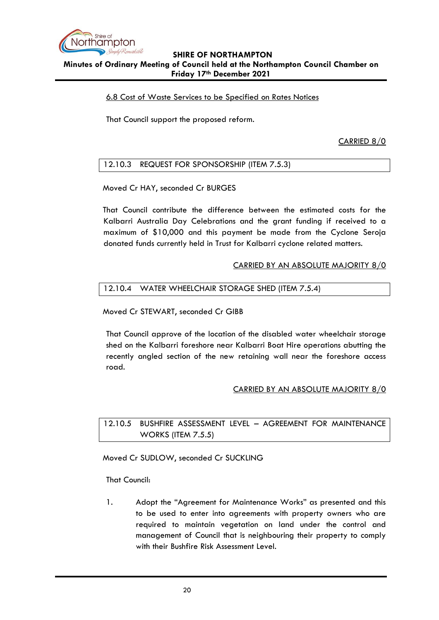

# 6.8 Cost of Waste Services to be Specified on Rates Notices

That Council support the proposed reform.

CARRIED 8/0

<span id="page-19-0"></span>12.10.3 REQUEST FOR SPONSORSHIP (ITEM 7.5.3)

Moved Cr HAY, seconded Cr BURGES

That Council contribute the difference between the estimated costs for the Kalbarri Australia Day Celebrations and the grant funding if received to a maximum of \$10,000 and this payment be made from the Cyclone Seroja donated funds currently held in Trust for Kalbarri cyclone related matters.

#### CARRIED BY AN ABSOLUTE MAJORITY 8/0

#### <span id="page-19-1"></span>12.10.4 WATER WHEELCHAIR STORAGE SHED (ITEM 7.5.4)

Moved Cr STEWART, seconded Cr GIBB

That Council approve of the location of the disabled water wheelchair storage shed on the Kalbarri foreshore near Kalbarri Boat Hire operations abutting the recently angled section of the new retaining wall near the foreshore access road.

#### CARRIED BY AN ABSOLUTE MAJORITY 8/0

<span id="page-19-2"></span>12.10.5 BUSHFIRE ASSESSMENT LEVEL – AGREEMENT FOR MAINTENANCE WORKS (ITEM 7.5.5)

Moved Cr SUDLOW, seconded Cr SUCKLING

That Council:

1. Adopt the "Agreement for Maintenance Works" as presented and this to be used to enter into agreements with property owners who are required to maintain vegetation on land under the control and management of Council that is neighbouring their property to comply with their Bushfire Risk Assessment Level.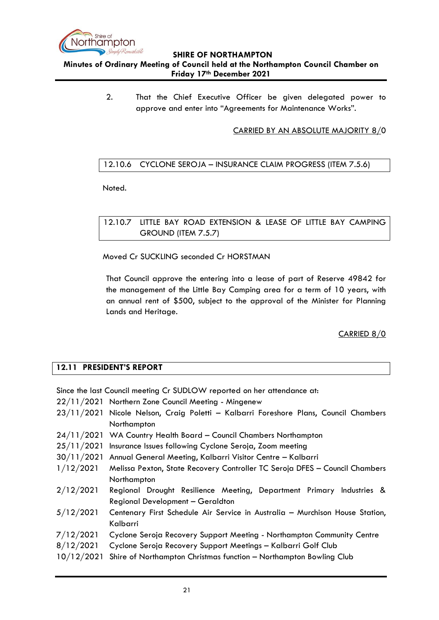

2. That the Chief Executive Officer be given delegated power to approve and enter into "Agreements for Maintenance Works".

# CARRIED BY AN ABSOLUTE MAJORITY 8/0

# <span id="page-20-0"></span>12.10.6 CYCLONE SEROJA – INSURANCE CLAIM PROGRESS (ITEM 7.5.6)

Noted.

# <span id="page-20-1"></span>12.10.7 LITTLE BAY ROAD EXTENSION & LEASE OF LITTLE BAY CAMPING GROUND (ITEM 7.5.7)

Moved Cr SUCKLING seconded Cr HORSTMAN

That Council approve the entering into a lease of part of Reserve 49842 for the management of the Little Bay Camping area for a term of 10 years, with an annual rent of \$500, subject to the approval of the Minister for Planning Lands and Heritage.

# CARRIED 8/0

# <span id="page-20-2"></span>**12.11 PRESIDENT'S REPORT**

Since the last Council meeting Cr SUDLOW reported on her attendance at:

- 22/11/2021 Northern Zone Council Meeting Mingenew
- 23/11/2021 Nicole Nelson, Craig Poletti Kalbarri Foreshore Plans, Council Chambers Northampton
- 24/11/2021 WA Country Health Board Council Chambers Northampton
- 25/11/2021 Insurance Issues following Cyclone Seroja, Zoom meeting
- 30/11/2021 Annual General Meeting, Kalbarri Visitor Centre Kalbarri
- 1/12/2021 Melissa Pexton, State Recovery Controller TC Seroja DFES Council Chambers Northampton
- 2/12/2021 Regional Drought Resilience Meeting, Department Primary Industries & Regional Development – Geraldton
- 5/12/2021 Centenary First Schedule Air Service in Australia Murchison House Station, Kalbarri
- 7/12/2021 Cyclone Seroja Recovery Support Meeting Northampton Community Centre
- 8/12/2021 Cyclone Seroja Recovery Support Meetings Kalbarri Golf Club
- 10/12/2021 Shire of Northampton Christmas function Northampton Bowling Club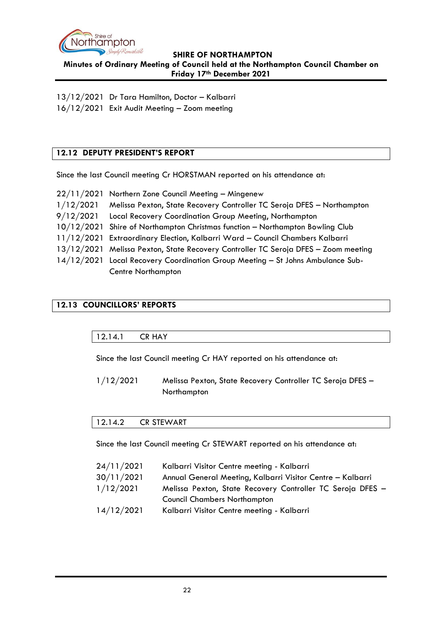

13/12/2021 Dr Tara Hamilton, Doctor – Kalbarri 16/12/2021 Exit Audit Meeting – Zoom meeting

# <span id="page-21-0"></span>**12.12 DEPUTY PRESIDENT'S REPORT**

Since the last Council meeting Cr HORSTMAN reported on his attendance at:

|           | 22/11/2021 Northern Zone Council Meeting - Mingenew                                |
|-----------|------------------------------------------------------------------------------------|
| 1/12/2021 | Melissa Pexton, State Recovery Controller TC Seroja DFES - Northampton             |
| 9/12/2021 | Local Recovery Coordination Group Meeting, Northampton                             |
|           | 10/12/2021 Shire of Northampton Christmas function - Northampton Bowling Club      |
|           | 11/12/2021 Extraordinary Election, Kalbarri Ward - Council Chambers Kalbarri       |
|           | 13/12/2021 Melissa Pexton, State Recovery Controller TC Seroja DFES - Zoom meeting |
|           | 14/12/2021 Local Recovery Coordination Group Meeting - St Johns Ambulance Sub-     |
|           | <b>Centre Northampton</b>                                                          |

# <span id="page-21-2"></span><span id="page-21-1"></span>**12.13 COUNCILLORS' REPORTS**

#### 12.14.1 CR HAY

Since the last Council meeting Cr HAY reported on his attendance at:

1/12/2021 Melissa Pexton, State Recovery Controller TC Seroja DFES – Northampton

#### <span id="page-21-3"></span>12.14.2 CR STEWART

Since the last Council meeting Cr STEWART reported on his attendance at:

| 24/11/2021 | Kalbarri Visitor Centre meeting - Kalbarri                 |
|------------|------------------------------------------------------------|
| 30/11/2021 | Annual General Meeting, Kalbarri Visitor Centre - Kalbarri |
| 1/12/2021  | Melissa Pexton, State Recovery Controller TC Seroja DFES - |
|            | <b>Council Chambers Northampton</b>                        |
| 14/12/2021 | Kalbarri Visitor Centre meeting - Kalbarri                 |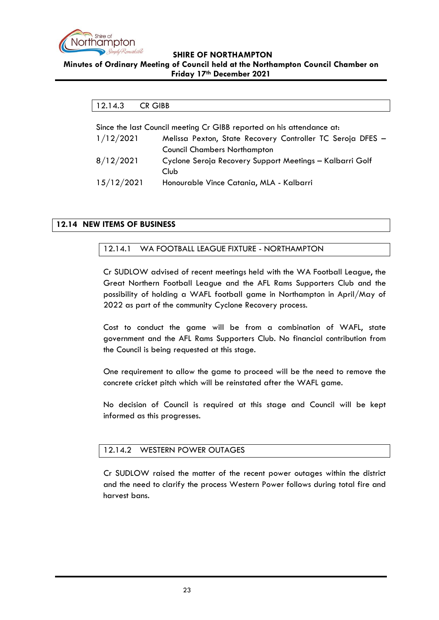

### <span id="page-22-0"></span>**Minutes of Ordinary Meeting of Council held at the Northampton Council Chamber on Friday 17th December 2021**

| 12.14.3                                                               | CR GIBB                                                    |  |
|-----------------------------------------------------------------------|------------------------------------------------------------|--|
|                                                                       |                                                            |  |
| Since the last Council meeting Cr GIBB reported on his attendance at: |                                                            |  |
| 1/12/2021                                                             | Melissa Pexton, State Recovery Controller TC Seroja DFES - |  |
|                                                                       | <b>Council Chambers Northampton</b>                        |  |
| 8/12/2021                                                             | Cyclone Seroja Recovery Support Meetings - Kalbarri Golf   |  |
|                                                                       | Club                                                       |  |

15/12/2021 Honourable Vince Catania, MLA - Kalbarri

# <span id="page-22-2"></span><span id="page-22-1"></span>**12.14 NEW ITEMS OF BUSINESS**

# 12.14.1 WA FOOTBALL LEAGUE FIXTURE - NORTHAMPTON

Cr SUDLOW advised of recent meetings held with the WA Football League, the Great Northern Football League and the AFL Rams Supporters Club and the possibility of holding a WAFL football game in Northampton in April/May of 2022 as part of the community Cyclone Recovery process.

Cost to conduct the game will be from a combination of WAFL, state government and the AFL Rams Supporters Club. No financial contribution from the Council is being requested at this stage.

One requirement to allow the game to proceed will be the need to remove the concrete cricket pitch which will be reinstated after the WAFL game.

No decision of Council is required at this stage and Council will be kept informed as this progresses.

# <span id="page-22-3"></span>12.14.2 WESTERN POWER OUTAGES

Cr SUDLOW raised the matter of the recent power outages within the district and the need to clarify the process Western Power follows during total fire and harvest bans.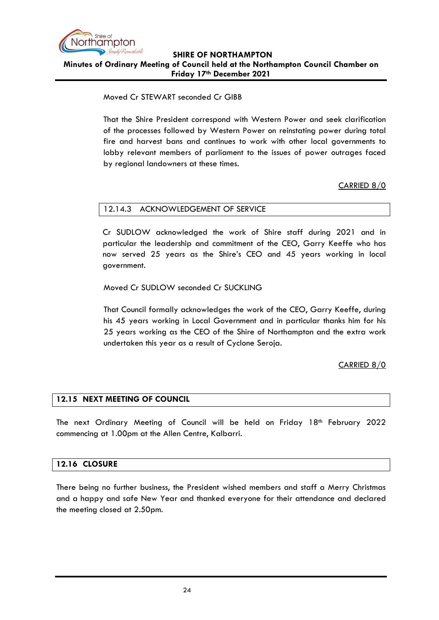

Moved Cr STEWART seconded Cr GIBB

That the Shire President correspond with Western Power and seek clarification of the processes followed by Western Power on reinstating power during total fire and harvest bans and continues to work with other local governments to lobby relevant members of parliament to the issues of power outrages faced by regional landowners at these times.

# CARRIED 8/0

# <span id="page-23-0"></span>12.14.3 ACKNOWLEDGEMENT OF SERVICE

Cr SUDLOW acknowledged the work of Shire staff during 2021 and in particular the leadership and commitment of the CEO, Garry Keeffe who has now served 25 years as the Shire's CEO and 45 years working in local government.

Moved Cr SUDLOW seconded Cr SUCKLING

That Council formally acknowledges the work of the CEO, Garry Keeffe, during his 45 years working in Local Government and in particular thanks him for his 25 years working as the CEO of the Shire of Northampton and the extra work undertaken this year as a result of Cyclone Seroja.

# CARRIED 8/0

# <span id="page-23-1"></span>**12.15 NEXT MEETING OF COUNCIL**

The next Ordinary Meeting of Council will be held on Friday 18<sup>th</sup> February 2022 commencing at 1.00pm at the Allen Centre, Kalbarri.

#### <span id="page-23-2"></span>**12.16 CLOSURE**

There being no further business, the President wished members and staff a Merry Christmas and a happy and safe New Year and thanked everyone for their attendance and declared the meeting closed at 2.50pm.